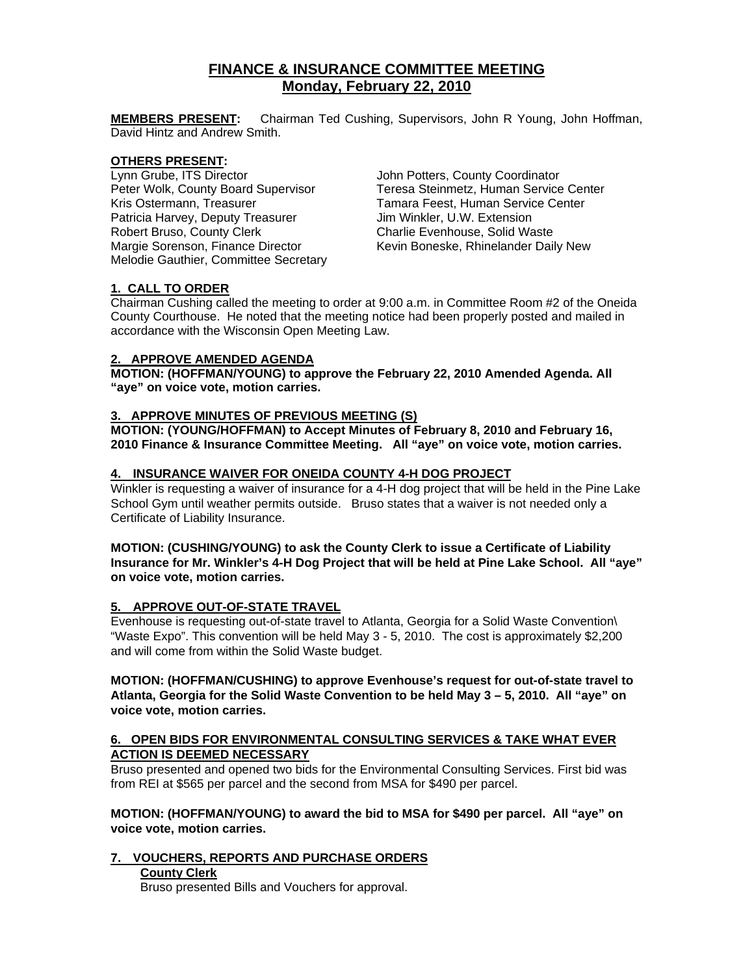# **FINANCE & INSURANCE COMMITTEE MEETING Monday, February 22, 2010**

**MEMBERS PRESENT:** Chairman Ted Cushing, Supervisors, John R Young, John Hoffman, David Hintz and Andrew Smith.

#### **OTHERS PRESENT:**

Peter Wolk, County Board Supervisor<br>Kris Ostermann, Treasurer Patricia Harvey, Deputy Treasurer Jim Winkler, U.W. Extension Robert Bruso, County Clerk Charlie Evenhouse, Solid Waste<br>Margie Sorenson, Finance Director Kevin Boneske, Rhinelander Dai Melodie Gauthier, Committee Secretary

Lynn Grube, ITS Director **John Potters, County Coordinator**<br>
Peter Wolk, County Board Supervisor **Teresa Steinmetz, Human Service Center** Tamara Feest, Human Service Center Kevin Boneske, Rhinelander Daily New

# **1. CALL TO ORDER**

Chairman Cushing called the meeting to order at 9:00 a.m. in Committee Room #2 of the Oneida County Courthouse. He noted that the meeting notice had been properly posted and mailed in accordance with the Wisconsin Open Meeting Law.

# **2. APPROVE AMENDED AGENDA**

**MOTION: (HOFFMAN/YOUNG) to approve the February 22, 2010 Amended Agenda. All "aye" on voice vote, motion carries.** 

# **3. APPROVE MINUTES OF PREVIOUS MEETING (S)**

**MOTION: (YOUNG/HOFFMAN) to Accept Minutes of February 8, 2010 and February 16, 2010 Finance & Insurance Committee Meeting. All "aye" on voice vote, motion carries.** 

# **4. INSURANCE WAIVER FOR ONEIDA COUNTY 4-H DOG PROJECT**

Winkler is requesting a waiver of insurance for a 4-H dog project that will be held in the Pine Lake School Gym until weather permits outside. Bruso states that a waiver is not needed only a Certificate of Liability Insurance.

**MOTION: (CUSHING/YOUNG) to ask the County Clerk to issue a Certificate of Liability Insurance for Mr. Winkler's 4-H Dog Project that will be held at Pine Lake School. All "aye" on voice vote, motion carries.** 

# **5. APPROVE OUT-OF-STATE TRAVEL**

Evenhouse is requesting out-of-state travel to Atlanta, Georgia for a Solid Waste Convention\ "Waste Expo". This convention will be held May 3 - 5, 2010. The cost is approximately \$2,200 and will come from within the Solid Waste budget.

**MOTION: (HOFFMAN/CUSHING) to approve Evenhouse's request for out-of-state travel to Atlanta, Georgia for the Solid Waste Convention to be held May 3 – 5, 2010. All "aye" on voice vote, motion carries.** 

# **6. OPEN BIDS FOR ENVIRONMENTAL CONSULTING SERVICES & TAKE WHAT EVER ACTION IS DEEMED NECESSARY**

Bruso presented and opened two bids for the Environmental Consulting Services. First bid was from REI at \$565 per parcel and the second from MSA for \$490 per parcel.

**MOTION: (HOFFMAN/YOUNG) to award the bid to MSA for \$490 per parcel. All "aye" on voice vote, motion carries.** 

# **7. VOUCHERS, REPORTS AND PURCHASE ORDERS**

# **County Clerk**

Bruso presented Bills and Vouchers for approval.